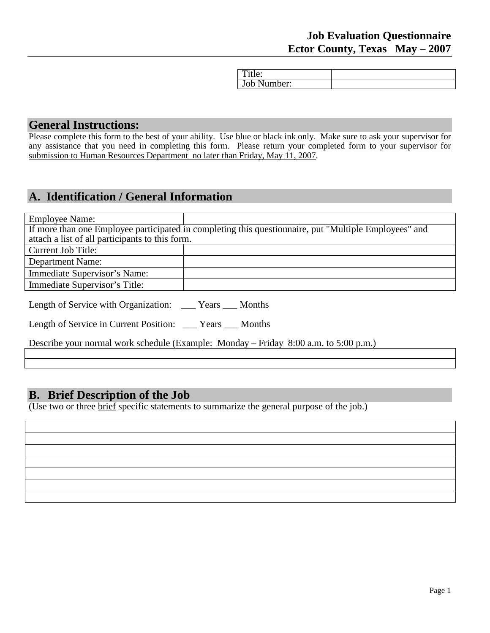| . ILIU.     |  |
|-------------|--|
| Job Number: |  |

### **General Instructions:**

Please complete this form to the best of your ability. Use blue or black ink only. Make sure to ask your supervisor for any assistance that you need in completing this form. Please return your completed form to your supervisor for submission to Human Resources Department no later than Friday, May 11, 2007.

## **A. Identification / General Information**

| <b>Employee Name:</b>                           |                                                                                                       |
|-------------------------------------------------|-------------------------------------------------------------------------------------------------------|
|                                                 | If more than one Employee participated in completing this questionnaire, put "Multiple Employees" and |
| attach a list of all participants to this form. |                                                                                                       |
| Current Job Title:                              |                                                                                                       |
| <b>Department Name:</b>                         |                                                                                                       |
| Immediate Supervisor's Name:                    |                                                                                                       |
| Immediate Supervisor's Title:                   |                                                                                                       |
|                                                 |                                                                                                       |

| Length of Service with Organization: | Years | Months |
|--------------------------------------|-------|--------|
|                                      |       |        |

| Length of Service in Current Position: | Months<br>Years |
|----------------------------------------|-----------------|
|----------------------------------------|-----------------|

Describe your normal work schedule (Example: Monday – Friday 8:00 a.m. to 5:00 p.m.)

### **B. Brief Description of the Job**

(Use two or three brief specific statements to summarize the general purpose of the job.)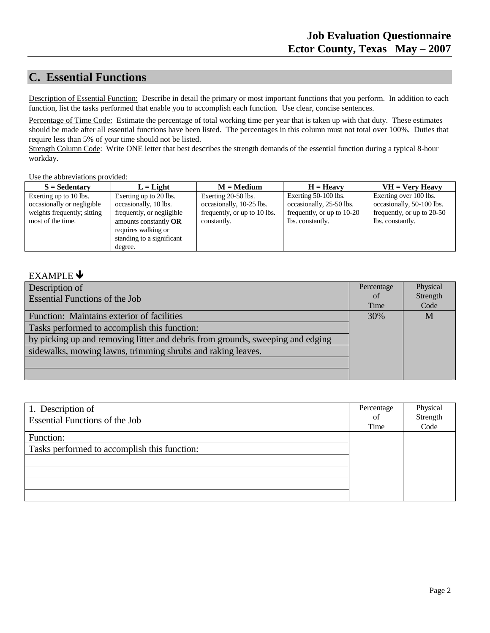## **C. Essential Functions**

Description of Essential Function: Describe in detail the primary or most important functions that you perform. In addition to each function, list the tasks performed that enable you to accomplish each function. Use clear, concise sentences.

Percentage of Time Code: Estimate the percentage of total working time per year that is taken up with that duty. These estimates should be made after all essential functions have been listed. The percentages in this column must not total over 100%. Duties that require less than 5% of your time should not be listed.

Strength Column Code: Write ONE letter that best describes the strength demands of the essential function during a typical 8-hour workday.

Use the abbreviations provided:

| $S =$ Sedentary             | $L = Light$               | $M = Medium$                 | $H = Heavv$                | $VH = V$ ery Heavy         |
|-----------------------------|---------------------------|------------------------------|----------------------------|----------------------------|
| Exerting up to 10 lbs.      | Exerting up to 20 lbs.    | Exerting 20-50 lbs.          | Exerting 50-100 lbs.       | Exerting over 100 lbs.     |
| occasionally or negligible  | occasionally, 10 lbs.     | occasionally, 10-25 lbs.     | occasionally, 25-50 lbs.   | occasionally, 50-100 lbs.  |
| weights frequently; sitting | frequently, or negligible | frequently, or up to 10 lbs. | frequently, or up to 10-20 | frequently, or up to 20-50 |
| most of the time.           | amounts constantly $OR$   | constantly.                  | lbs. constantly.           | lbs. constantly.           |
|                             | requires walking or       |                              |                            |                            |
|                             | standing to a significant |                              |                            |                            |
|                             | degree.                   |                              |                            |                            |

#### EXAMPLE  $\blacklozenge$

| Description of                                                                 | Percentage | Physical |
|--------------------------------------------------------------------------------|------------|----------|
| <b>Essential Functions of the Job</b>                                          | of         | Strength |
|                                                                                | Time       | Code     |
| Function: Maintains exterior of facilities                                     | 30%        | M        |
| Tasks performed to accomplish this function:                                   |            |          |
| by picking up and removing litter and debris from grounds, sweeping and edging |            |          |
| sidewalks, mowing lawns, trimming shrubs and raking leaves.                    |            |          |
|                                                                                |            |          |
|                                                                                |            |          |

| 1. Description of<br><b>Essential Functions of the Job</b> | Percentage<br><sub>of</sub><br>Time | Physical<br>Strength<br>Code |
|------------------------------------------------------------|-------------------------------------|------------------------------|
| Function:<br>Tasks performed to accomplish this function:  |                                     |                              |
|                                                            |                                     |                              |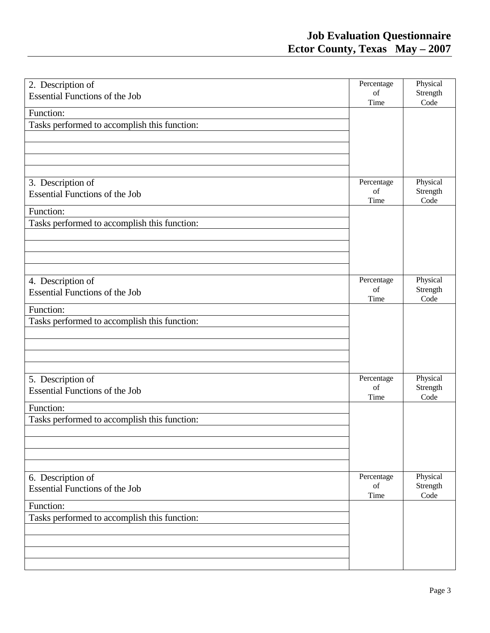| 2. Description of<br><b>Essential Functions of the Job</b> | Percentage<br>of<br>Time | Physical<br>Strength<br>Code |
|------------------------------------------------------------|--------------------------|------------------------------|
| Function:                                                  |                          |                              |
| Tasks performed to accomplish this function:               |                          |                              |
|                                                            |                          |                              |
|                                                            |                          |                              |
|                                                            |                          |                              |
|                                                            | Percentage               | Physical                     |
| 3. Description of<br><b>Essential Functions of the Job</b> | of                       | Strength                     |
|                                                            | Time                     | Code                         |
| Function:                                                  |                          |                              |
| Tasks performed to accomplish this function:               |                          |                              |
|                                                            |                          |                              |
|                                                            |                          |                              |
|                                                            |                          |                              |
| 4. Description of                                          | Percentage               | Physical                     |
| <b>Essential Functions of the Job</b>                      | of                       | Strength                     |
|                                                            | Time                     | Code                         |
| Function:                                                  |                          |                              |
| Tasks performed to accomplish this function:               |                          |                              |
|                                                            |                          |                              |
|                                                            |                          |                              |
|                                                            |                          |                              |
| 5. Description of                                          | Percentage               | Physical                     |
| <b>Essential Functions of the Job</b>                      | of                       | Strength                     |
|                                                            | Time                     | Code                         |
| Function:                                                  |                          |                              |
| Tasks performed to accomplish this function:               |                          |                              |
|                                                            |                          |                              |
|                                                            |                          |                              |
|                                                            |                          |                              |
| 6. Description of                                          | Percentage               | Physical                     |
| <b>Essential Functions of the Job</b>                      | of                       | Strength                     |
| Function:                                                  | Time                     | Code                         |
| Tasks performed to accomplish this function:               |                          |                              |
|                                                            |                          |                              |
|                                                            |                          |                              |
|                                                            |                          |                              |
|                                                            |                          |                              |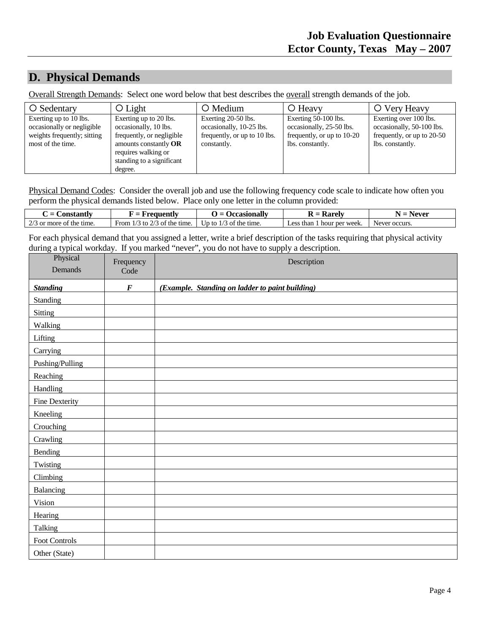### **D. Physical Demands**

Overall Strength Demands: Select one word below that best describes the overall strength demands of the job.

| O Sedentary                                                                                              | $\bigcirc$ Light                                                                                                                                                       | O Medium                                                                                       | O Heavy                                                                                            | O Very Heavy                                                                                          |
|----------------------------------------------------------------------------------------------------------|------------------------------------------------------------------------------------------------------------------------------------------------------------------------|------------------------------------------------------------------------------------------------|----------------------------------------------------------------------------------------------------|-------------------------------------------------------------------------------------------------------|
| Exerting up to 10 lbs.<br>occasionally or negligible<br>weights frequently; sitting<br>most of the time. | Exerting up to 20 lbs.<br>occasionally, 10 lbs.<br>frequently, or negligible<br>amounts constantly $OR$<br>requires walking or<br>standing to a significant<br>degree. | Exerting 20-50 lbs.<br>occasionally, 10-25 lbs.<br>frequently, or up to 10 lbs.<br>constantly. | Exerting 50-100 lbs.<br>occasionally, 25-50 lbs.<br>frequently, or up to 10-20<br>lbs. constantly. | Exerting over 100 lbs.<br>occasionally, 50-100 lbs.<br>frequently, or up to 20-50<br>lbs. constantly. |

Physical Demand Codes: Consider the overall job and use the following frequency code scale to indicate how often you perform the physical demands listed below. Place only one letter in the column provided:

| <b>Constanti</b><br>(regnentiv<br>$=$        |                                                      | Occasionally                 | - Roraly<br>v                         | ∖ever         |
|----------------------------------------------|------------------------------------------------------|------------------------------|---------------------------------------|---------------|
| $\sim$ $\prime$<br>3 or more<br>of the time. | $\sim$ $\sim$<br>the:<br>From<br>time.<br>tσ<br>- of | time.<br>the<br>Jp to<br>n o | hour per week.<br>than<br>$\alpha$ co | Never occurs. |

For each physical demand that you assigned a letter, write a brief description of the tasks requiring that physical activity during a typical workday. If you marked "never", you do not have to supply a description.

| Physical<br>Demands | Frequency<br>Code | Description                                     |
|---------------------|-------------------|-------------------------------------------------|
|                     |                   |                                                 |
| <b>Standing</b>     | $\pmb{F}$         | (Example. Standing on ladder to paint building) |
| Standing            |                   |                                                 |
| Sitting             |                   |                                                 |
| Walking             |                   |                                                 |
| Lifting             |                   |                                                 |
| Carrying            |                   |                                                 |
| Pushing/Pulling     |                   |                                                 |
| Reaching            |                   |                                                 |
| Handling            |                   |                                                 |
| Fine Dexterity      |                   |                                                 |
| Kneeling            |                   |                                                 |
| Crouching           |                   |                                                 |
| Crawling            |                   |                                                 |
| Bending             |                   |                                                 |
| Twisting            |                   |                                                 |
| Climbing            |                   |                                                 |
| Balancing           |                   |                                                 |
| Vision              |                   |                                                 |
| Hearing             |                   |                                                 |
| Talking             |                   |                                                 |
| Foot Controls       |                   |                                                 |
| Other (State)       |                   |                                                 |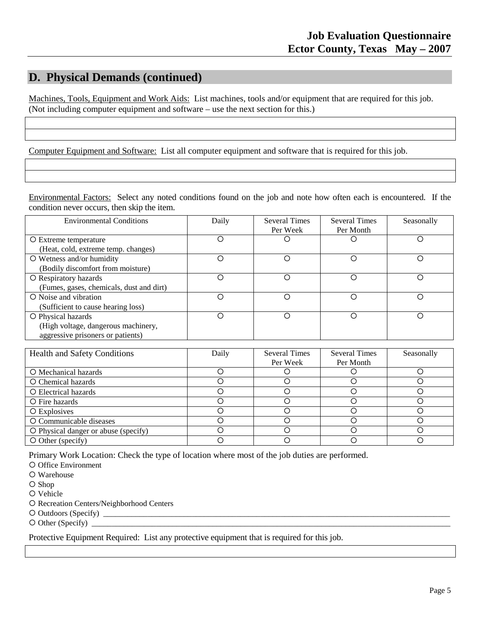### **D. Physical Demands (continued)**

Machines, Tools, Equipment and Work Aids: List machines, tools and/or equipment that are required for this job. (Not including computer equipment and software – use the next section for this.)

Computer Equipment and Software: List all computer equipment and software that is required for this job.

Environmental Factors: Select any noted conditions found on the job and note how often each is encountered. If the condition never occurs, then skip the item.

| <b>Environmental Conditions</b>          | Daily | <b>Several Times</b> | <b>Several Times</b> | Seasonally |
|------------------------------------------|-------|----------------------|----------------------|------------|
|                                          |       | Per Week             | Per Month            |            |
| O Extreme temperature                    |       |                      |                      |            |
| (Heat, cold, extreme temp. changes)      |       |                      |                      |            |
| $\circ$ Wetness and/or humidity          | ∩     | ∩                    |                      |            |
| (Bodily discomfort from moisture)        |       |                      |                      |            |
| O Respiratory hazards                    | ∩     | ∩                    |                      |            |
| (Fumes, gases, chemicals, dust and dirt) |       |                      |                      |            |
| O Noise and vibration                    | ∩     | ∩                    | ∩                    |            |
| (Sufficient to cause hearing loss)       |       |                      |                      |            |
| O Physical hazards                       | ∩     | ∩                    |                      |            |
| (High voltage, dangerous machinery,      |       |                      |                      |            |
| aggressive prisoners or patients)        |       |                      |                      |            |

| <b>Health and Safety Conditions</b>  | Daily | <b>Several Times</b> | <b>Several Times</b> | Seasonally |
|--------------------------------------|-------|----------------------|----------------------|------------|
|                                      |       | Per Week             | Per Month            |            |
| O Mechanical hazards                 |       |                      |                      |            |
| O Chemical hazards                   |       |                      |                      |            |
| O Electrical hazards                 |       |                      |                      |            |
| O Fire hazards                       |       |                      |                      |            |
| O Explosives                         |       |                      |                      |            |
| O Communicable diseases              |       |                      |                      |            |
| O Physical danger or abuse (specify) |       |                      |                      |            |
| $\circ$ O Other (specify)            |       |                      |                      |            |

Primary Work Location: Check the type of location where most of the job duties are performed.

O Office Environment

O Warehouse

O Shop

O Vehicle

O Recreation Centers/Neighborhood Centers

Outdoors (Specify) \_\_\_\_\_\_\_\_\_\_\_\_\_\_\_\_\_\_\_\_\_\_\_\_\_\_\_\_\_\_\_\_\_\_\_\_\_\_\_\_\_\_\_\_\_\_\_\_\_\_\_\_\_\_\_\_\_\_\_\_\_\_\_\_\_\_\_\_\_\_\_\_\_\_\_\_\_\_\_\_\_\_\_\_\_\_

 $\circ$  Other (Specify) \_

Protective Equipment Required: List any protective equipment that is required for this job.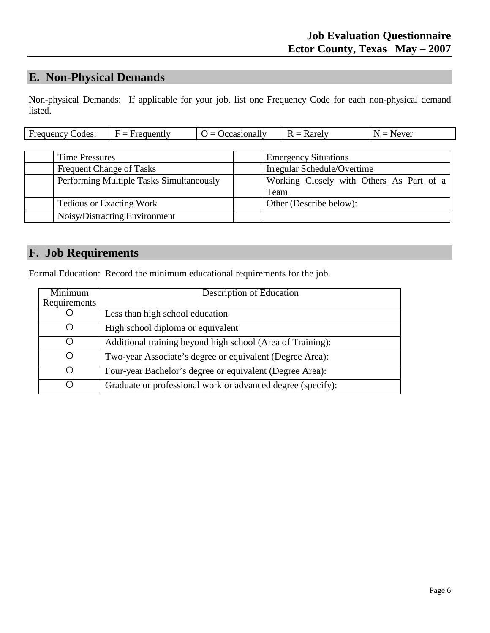# **E. Non-Physical Demands**

Non-physical Demands: If applicable for your job, list one Frequency Code for each non-physical demand listed.

| Frequency Codes: | $F =$<br>Frequently | <i><u><b>Occasionally</b></u></i> | R<br>Rarely | Never |
|------------------|---------------------|-----------------------------------|-------------|-------|
|                  |                     |                                   |             |       |

| <b>Time Pressures</b>                    | <b>Emergency Situations</b>              |
|------------------------------------------|------------------------------------------|
| <b>Frequent Change of Tasks</b>          | Irregular Schedule/Overtime              |
| Performing Multiple Tasks Simultaneously | Working Closely with Others As Part of a |
|                                          | Team                                     |
| <b>Tedious or Exacting Work</b>          | Other (Describe below):                  |
| Noisy/Distracting Environment            |                                          |

# **F. Job Requirements**

Formal Education: Record the minimum educational requirements for the job.

| Minimum<br>Requirements | Description of Education                                    |
|-------------------------|-------------------------------------------------------------|
|                         | Less than high school education                             |
|                         | High school diploma or equivalent                           |
| ∩                       | Additional training beyond high school (Area of Training):  |
| ∩                       | Two-year Associate's degree or equivalent (Degree Area):    |
| ∩                       | Four-year Bachelor's degree or equivalent (Degree Area):    |
| ◠                       | Graduate or professional work or advanced degree (specify): |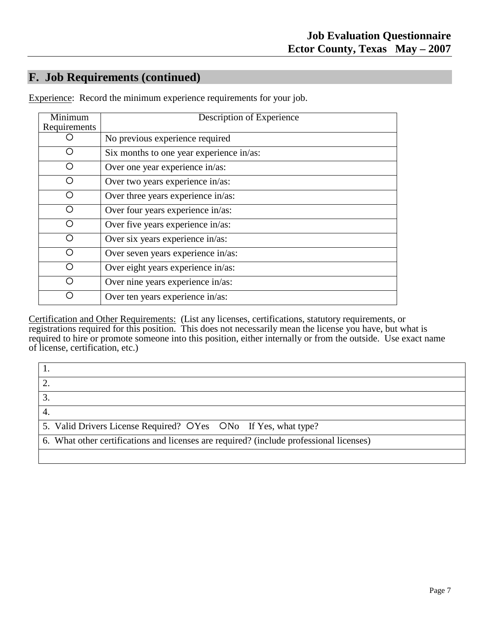# **F. Job Requirements (continued)**

| $\overline{\text{Minimum}}$<br>Requirements | Description of Experience                |
|---------------------------------------------|------------------------------------------|
|                                             | No previous experience required          |
|                                             | Six months to one year experience in/as: |
|                                             | Over one year experience in/as:          |
|                                             | Over two years experience in/as:         |
|                                             | Over three years experience in/as:       |
|                                             | Over four years experience in/as:        |
|                                             | Over five years experience in/as:        |
|                                             | Over six years experience in/as:         |
|                                             | Over seven years experience in/as:       |
|                                             | Over eight years experience in/as:       |
|                                             | Over nine years experience in/as:        |
|                                             | Over ten years experience in/as:         |

Experience: Record the minimum experience requirements for your job.

Certification and Other Requirements: (List any licenses, certifications, statutory requirements, or registrations required for this position. This does not necessarily mean the license you have, but what is required to hire or promote someone into this position, either internally or from the outside. Use exact name of license, certification, etc.)

| 5. Valid Drivers License Required? OYes ONo If Yes, what type?                          |
|-----------------------------------------------------------------------------------------|
| 6. What other certifications and licenses are required? (include professional licenses) |
|                                                                                         |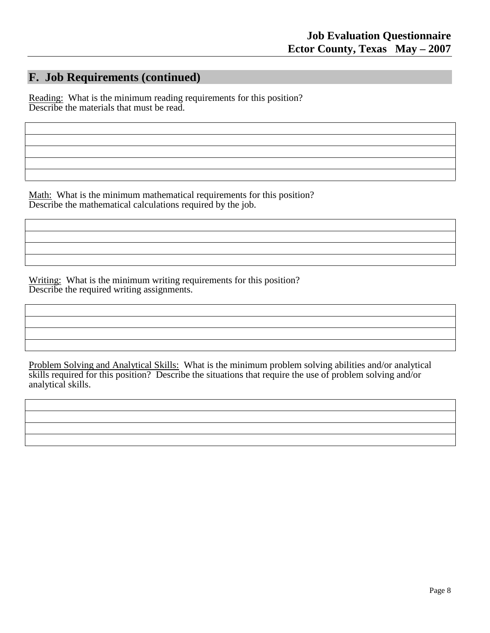### **F. Job Requirements (continued)**

Reading: What is the minimum reading requirements for this position? Describe the materials that must be read.

Math: What is the minimum mathematical requirements for this position? Describe the mathematical calculations required by the job.

Writing: What is the minimum writing requirements for this position? Describe the required writing assignments.

Problem Solving and Analytical Skills: What is the minimum problem solving abilities and/or analytical skills required for this position? Describe the situations that require the use of problem solving and/or analytical skills.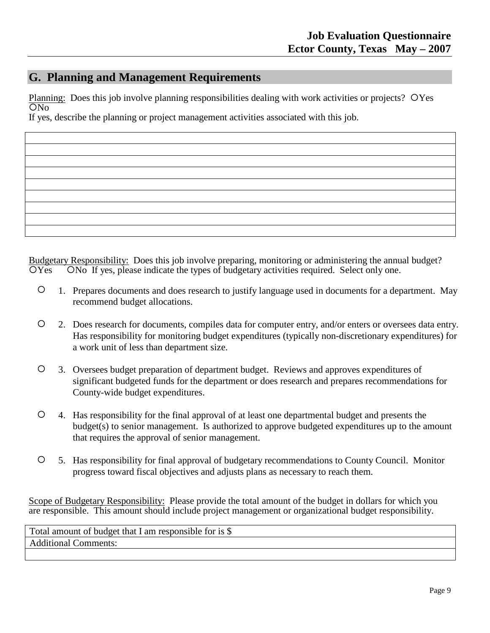### **G. Planning and Management Requirements**

Planning: Does this job involve planning responsibilities dealing with work activities or projects? OYes If yes, describe the planning or project management activities associated with this job. ON<sub>0</sub>

Budgetary Responsibility: Does this job involve preparing, monitoring or administering the annual budget? OYes ONo If yes, please indicate the types of budgetary activities required. Select only one.

- 1. Prepares documents and does research to justify language used in documents for a department. May recommend budget allocations.
- 2. Does research for documents, compiles data for computer entry, and/or enters or oversees data entry. Has responsibility for monitoring budget expenditures (typically non-discretionary expenditures) for a work unit of less than department size.
- 3. Oversees budget preparation of department budget. Reviews and approves expenditures of significant budgeted funds for the department or does research and prepares recommendations for County-wide budget expenditures.
- 4. Has responsibility for the final approval of at least one departmental budget and presents the budget(s) to senior management. Is authorized to approve budgeted expenditures up to the amount that requires the approval of senior management.
- 5. Has responsibility for final approval of budgetary recommendations to County Council. Monitor progress toward fiscal objectives and adjusts plans as necessary to reach them.

Scope of Budgetary Responsibility: Please provide the total amount of the budget in dollars for which you are responsible. This amount should include project management or organizational budget responsibility.

Total amount of budget that I am responsible for is \$ Additional Comments: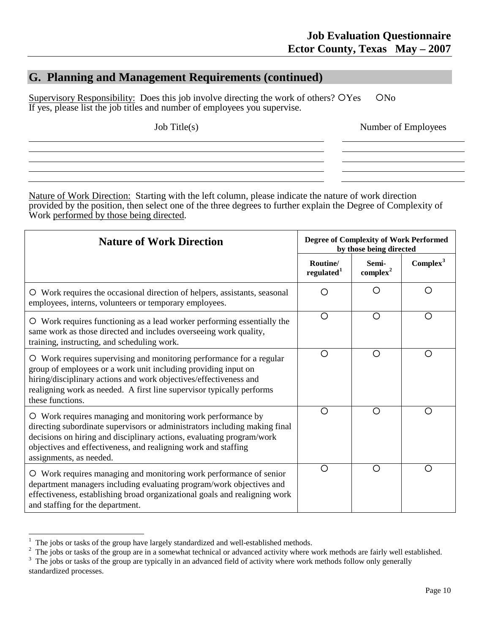### **G. Planning and Management Requirements (continued)**

Supervisory Responsibility: Does this job involve directing the work of others? OYes ONo If yes, please list the job titles and number of employees you supervise.

Job Title(s)

Number of Employees

Nature of Work Direction: Starting with the left column, please indicate the nature of work direction provided by the position, then select one of the three degrees to further explain the Degree of Complexity of Work performed by those being directed.

| <b>Nature of Work Direction</b>                                                                                                                                                                                                                                                                                 | <b>Degree of Complexity of Work Performed</b><br>by those being directed |                               |                      |  |
|-----------------------------------------------------------------------------------------------------------------------------------------------------------------------------------------------------------------------------------------------------------------------------------------------------------------|--------------------------------------------------------------------------|-------------------------------|----------------------|--|
|                                                                                                                                                                                                                                                                                                                 | Routine/<br>regulated $1$                                                | Semi-<br>complex <sup>2</sup> | Complex <sup>3</sup> |  |
| O Work requires the occasional direction of helpers, assistants, seasonal<br>employees, interns, volunteers or temporary employees.                                                                                                                                                                             | Ω                                                                        | ( )                           | Ω                    |  |
| O Work requires functioning as a lead worker performing essentially the<br>same work as those directed and includes overseeing work quality,<br>training, instructing, and scheduling work.                                                                                                                     | $\circ$                                                                  | $\circ$                       | O                    |  |
| O Work requires supervising and monitoring performance for a regular<br>group of employees or a work unit including providing input on<br>hiring/disciplinary actions and work objectives/effectiveness and<br>realigning work as needed. A first line supervisor typically performs<br>these functions.        | O                                                                        | O                             | ∩                    |  |
| O Work requires managing and monitoring work performance by<br>directing subordinate supervisors or administrators including making final<br>decisions on hiring and disciplinary actions, evaluating program/work<br>objectives and effectiveness, and realigning work and staffing<br>assignments, as needed. | O                                                                        | O                             | O                    |  |
| O Work requires managing and monitoring work performance of senior<br>department managers including evaluating program/work objectives and<br>effectiveness, establishing broad organizational goals and realigning work<br>and staffing for the department.                                                    | ∩                                                                        | ∩                             | ∩                    |  |

<sup>|&</sup>lt;br>|

<span id="page-9-0"></span> $\frac{1}{2}$  The jobs or tasks of the group have largely standardized and well-established methods.<br>
<sup>2</sup> The jobs or tasks of the group are in a somewhat technical or advanced activity where work methods are fairly well esta

<span id="page-9-2"></span><span id="page-9-1"></span><sup>&</sup>lt;sup>3</sup> The jobs or tasks of the group are typically in an advanced field of activity where work methods follow only generally standardized processes.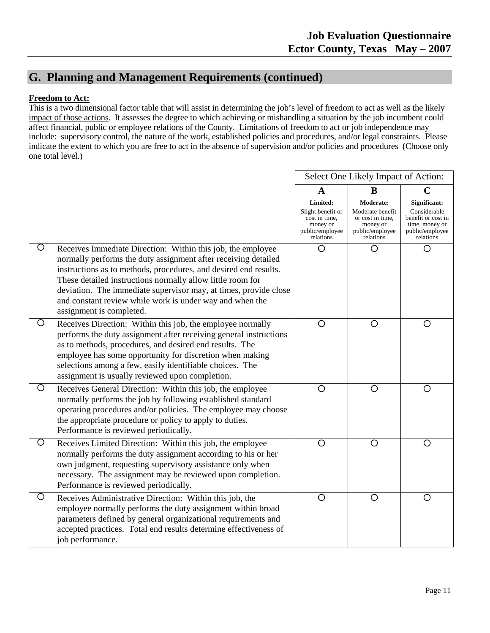### **G. Planning and Management Requirements (continued)**

#### **Freedom to Act:**

This is a two dimensional factor table that will assist in determining the job's level of freedom to act as well as the likely impact of those actions. It assesses the degree to which achieving or mishandling a situation by the job incumbent could affect financial, public or employee relations of the County. Limitations of freedom to act or job independence may include: supervisory control, the nature of the work, established policies and procedures, and/or legal constraints. Please indicate the extent to which you are free to act in the absence of supervision and/or policies and procedures (Choose only one total level.)

|                                                                                                                                                                                                                                                                                                                                                                                                                                  |                                                                                            | Select One Likely Impact of Action:                                                           |                                                                                                      |
|----------------------------------------------------------------------------------------------------------------------------------------------------------------------------------------------------------------------------------------------------------------------------------------------------------------------------------------------------------------------------------------------------------------------------------|--------------------------------------------------------------------------------------------|-----------------------------------------------------------------------------------------------|------------------------------------------------------------------------------------------------------|
|                                                                                                                                                                                                                                                                                                                                                                                                                                  | $\mathbf{A}$                                                                               | B                                                                                             | $\mathbf C$                                                                                          |
|                                                                                                                                                                                                                                                                                                                                                                                                                                  | Limited:<br>Slight benefit or<br>cost in time,<br>money or<br>public/employee<br>relations | Moderate:<br>Moderate benefit<br>or cost in time,<br>money or<br>public/employee<br>relations | Significant:<br>Considerable<br>benefit or cost in<br>time, money or<br>public/employee<br>relations |
| O<br>Receives Immediate Direction: Within this job, the employee<br>normally performs the duty assignment after receiving detailed<br>instructions as to methods, procedures, and desired end results.<br>These detailed instructions normally allow little room for<br>deviation. The immediate supervisor may, at times, provide close<br>and constant review while work is under way and when the<br>assignment is completed. | O                                                                                          | О                                                                                             | O                                                                                                    |
| $\circ$<br>Receives Direction: Within this job, the employee normally<br>performs the duty assignment after receiving general instructions<br>as to methods, procedures, and desired end results. The<br>employee has some opportunity for discretion when making<br>selections among a few, easily identifiable choices. The<br>assignment is usually reviewed upon completion.                                                 | $\circ$                                                                                    | $\circ$                                                                                       | O                                                                                                    |
| $\circ$<br>Receives General Direction: Within this job, the employee<br>normally performs the job by following established standard<br>operating procedures and/or policies. The employee may choose<br>the appropriate procedure or policy to apply to duties.<br>Performance is reviewed periodically.                                                                                                                         | O                                                                                          | $\circ$                                                                                       | O                                                                                                    |
| O<br>Receives Limited Direction: Within this job, the employee<br>normally performs the duty assignment according to his or her<br>own judgment, requesting supervisory assistance only when<br>necessary. The assignment may be reviewed upon completion.<br>Performance is reviewed periodically.                                                                                                                              | $\circ$                                                                                    | $\circ$                                                                                       | $\circ$                                                                                              |
| O<br>Receives Administrative Direction: Within this job, the<br>employee normally performs the duty assignment within broad<br>parameters defined by general organizational requirements and<br>accepted practices. Total end results determine effectiveness of<br>job performance.                                                                                                                                             | $\circ$                                                                                    | $\circ$                                                                                       | $\circ$                                                                                              |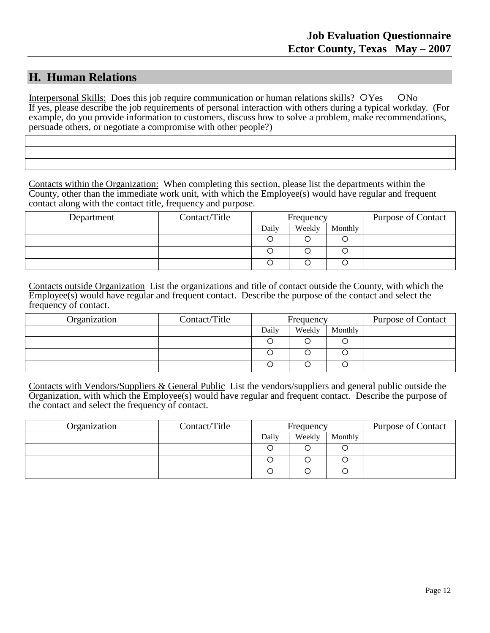### **H. Human Relations**

Interpersonal Skills: Does this job require communication or human relations skills? OYes ONo If yes, please describe the job requirements of personal interaction with others during a typical workday. (For example, do you provide information to customers, discuss how to solve a problem, make recommendations, persuade others, or negotiate a compromise with other people?)

Contacts within the Organization: When completing this section, please list the departments within the County, other than the immediate work unit, with which the Employee(s) would have regular and frequent contact along with the contact title, frequency and purpose.

| Department | Contact/Title |       | Frequency |         | <b>Purpose of Contact</b> |
|------------|---------------|-------|-----------|---------|---------------------------|
|            |               | Daily | Weekly    | Monthly |                           |
|            |               |       |           |         |                           |
|            |               |       |           |         |                           |
|            |               |       |           |         |                           |

Contacts outside Organization List the organizations and title of contact outside the County, with which the Employee(s) would have regular and frequent contact. Describe the purpose of the contact and select the frequency of contact.

| Organization | Contact/Title |       | Frequency |         | <b>Purpose of Contact</b> |
|--------------|---------------|-------|-----------|---------|---------------------------|
|              |               | Daily | Weekly    | Monthly |                           |
|              |               |       |           |         |                           |
|              |               | С     |           |         |                           |
|              |               |       |           |         |                           |

Contacts with Vendors/Suppliers & General Public List the vendors/suppliers and general public outside the Organization, with which the Employee(s) would have regular and frequent contact. Describe the purpose of the contact and select the frequency of contact.

| Organization | Contact/Title |       | Frequency |         | <b>Purpose of Contact</b> |
|--------------|---------------|-------|-----------|---------|---------------------------|
|              |               | Daily | Weekly    | Monthly |                           |
|              |               |       |           |         |                           |
|              |               |       |           |         |                           |
|              |               |       |           |         |                           |